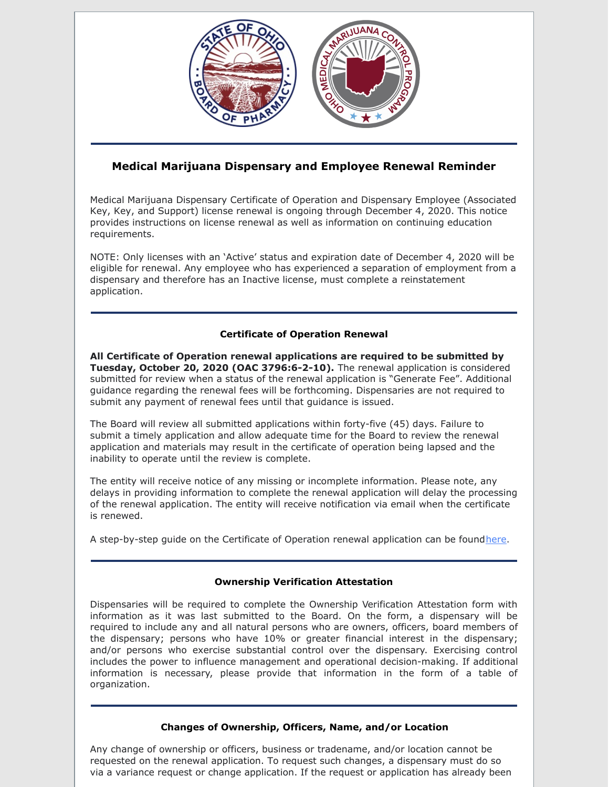

# **Medical Marijuana Dispensary and Employee Renewal Reminder**

Medical Marijuana Dispensary Certificate of Operation and Dispensary Employee (Associated Key, Key, and Support) license renewal is ongoing through December 4, 2020. This notice provides instructions on license renewal as well as information on continuing education requirements.

NOTE: Only licenses with an 'Active' status and expiration date of December 4, 2020 will be eligible for renewal. Any employee who has experienced a separation of employment from a dispensary and therefore has an Inactive license, must complete a reinstatement application.

## **Certificate of Operation Renewal**

**All Certificate of Operation renewal applications are required to be submitted by Tuesday, October 20, 2020 (OAC 3796:6-2-10).** The renewal application is considered submitted for review when a status of the renewal application is "Generate Fee". Additional guidance regarding the renewal fees will be forthcoming. Dispensaries are not required to submit any payment of renewal fees until that guidance is issued.

The Board will review all submitted applications within forty-five (45) days. Failure to submit a timely application and allow adequate time for the Board to review the renewal application and materials may result in the certificate of operation being lapsed and the inability to operate until the review is complete.

The entity will receive notice of any missing or incomplete information. Please note, any delays in providing information to complete the renewal application will delay the processing of the renewal application. The entity will receive notification via email when the certificate is renewed.

A step-by-step guide on the Certificate of Operation renewal application can be found[here](https://gcc01.safelinks.protection.outlook.com/?url=https%3A%2F%2Fmedicalmarijuana.ohio.gov%2FDocuments%2FLicenseeResources%2FDispensary%2520Licensee%2520Resources%2FDispensary%2520%26%2520Employee%2520License%2520Renewal%2FeLicense%2520Guide%2520-%2520Dispensary%2520-%2520Certificate%2520of%2520Operation%2520Renewal%2520Application.pdf&data=02%7C01%7CKarrie.Southard%40pharmacy.ohio.gov%7C0a9c0b504ff14c92bb8508d850da9d6e%7C50f8fcc494d84f0784eb36ed57c7c8a2%7C0%7C1%7C637348247172810432&sdata=3NC9dZOoJolvnIn5UnEiVDLxVQ4nUVpRHZnD8py%2FpPQ%3D&reserved=0).

## **Ownership Verification Attestation**

Dispensaries will be required to complete the Ownership Verification Attestation form with information as it was last submitted to the Board. On the form, a dispensary will be required to include any and all natural persons who are owners, officers, board members of the dispensary; persons who have 10% or greater financial interest in the dispensary; and/or persons who exercise substantial control over the dispensary. Exercising control includes the power to influence management and operational decision-making. If additional information is necessary, please provide that information in the form of a table of organization.

## **Changes of Ownership, Officers, Name, and/or Location**

Any change of ownership or officers, business or tradename, and/or location cannot be requested on the renewal application. To request such changes, a dispensary must do so via a variance request or change application. If the request or application has already been